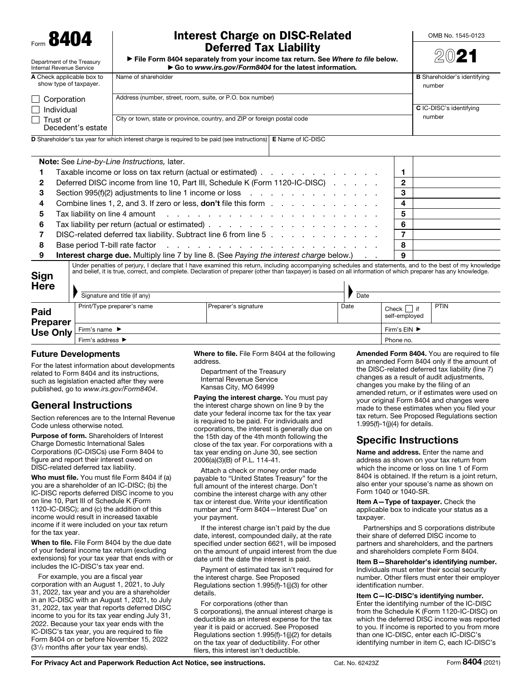RAN

Department of the Treasury

## Interest Charge on DISC-Related Deferred Tax Liability

OMB No. 1545-0123

| PUIVIIVA TUA EIUMIIITY                                                          |
|---------------------------------------------------------------------------------|
| File Form 8404 separately from your income tax return. See Where to file below. |
| Go to www.irs.gov/Form8404 for the latest information.                          |

|  | M | т, | n | ٠ |  |
|--|---|----|---|---|--|
|  |   |    |   |   |  |

| Internal Revenue Service                                                                                                     | ► Go to www.irs.gov/Form8404 for the latest information.                 |                                    |  |  |
|------------------------------------------------------------------------------------------------------------------------------|--------------------------------------------------------------------------|------------------------------------|--|--|
| A Check applicable box to                                                                                                    | Name of shareholder                                                      | <b>B</b> Shareholder's identifying |  |  |
| show type of taxpayer.                                                                                                       |                                                                          | number                             |  |  |
| Corporation                                                                                                                  | Address (number, street, room, suite, or P.O. box number)                |                                    |  |  |
| Individual                                                                                                                   |                                                                          | C IC-DISC's identifying            |  |  |
| Trust or                                                                                                                     | City or town, state or province, country, and ZIP or foreign postal code | number                             |  |  |
| Decedent's estate                                                                                                            |                                                                          |                                    |  |  |
| <b>D</b> Shareholder's tax year for which interest charge is required to be paid (see instructions) <b>E</b> Name of IC-DISC |                                                                          |                                    |  |  |

|   | <b>Note:</b> See Line-by-Line Instructions, later.                                                                                                                                                                            |   |  |
|---|-------------------------------------------------------------------------------------------------------------------------------------------------------------------------------------------------------------------------------|---|--|
|   | Taxable income or loss on tax return (actual or estimated)                                                                                                                                                                    |   |  |
| 2 | Deferred DISC income from line 10, Part III, Schedule K (Form 1120-IC-DISC)                                                                                                                                                   | 2 |  |
| З | Section 995(f)(2) adjustments to line 1 income or loss enterstance in the section 995(f)(2) adjustments to line 1 income or loss                                                                                              | з |  |
| 4 | Combine lines 1, 2, and 3. If zero or less, <b>don't</b> file this form                                                                                                                                                       |   |  |
| 5 | Tax liability on line 4 amount $\cdots$ $\cdots$ $\cdots$ $\cdots$ $\cdots$ $\cdots$ $\cdots$ $\cdots$ $\cdots$                                                                                                               | 5 |  |
| 6 |                                                                                                                                                                                                                               | 6 |  |
|   | DISC-related deferred tax liability. Subtract line 6 from line 5                                                                                                                                                              |   |  |
| 8 | Base period T-bill rate factor enters and the set of the set of the set of the set of the set of the set of the set of the set of the set of the set of the set of the set of the set of the set of the set of the set of the | 8 |  |
| 9 | <b>Interest charge due.</b> Multiply line 7 by line 8. (See Paying the interest charge below.)                                                                                                                                | 9 |  |
|   | Under penalties of persium Udoelers that Unave examined this return, including accompaning schodules and statements, and to the best of my knowledge                                                                          |   |  |

Sign Under penalties of perjury, I declare that I have examined this return, including accompanying schedules and statements, and to the best of my knowledge<br>and belief, it is true, correct, and complete. Declaration of prepare

| <b>Here</b>                         | Signature and title (if any)                      |                      | Date |                                  |              |  |
|-------------------------------------|---------------------------------------------------|----------------------|------|----------------------------------|--------------|--|
| <b>Paid</b><br>Preparer<br>Use Only | Print/Type preparer's name                        | Preparer's signature | Date | Check  <br>l if<br>self-employed | PTIN         |  |
|                                     | Firm's name $\blacktriangleright$                 |                      |      |                                  | Firm's EIN ▶ |  |
|                                     | Firm's address $\blacktriangleright$<br>Phone no. |                      |      |                                  |              |  |

#### Future Developments

For the latest information about developments related to Form 8404 and its instructions, such as legislation enacted after they were published, go to *www.irs.gov/Form8404*.

# General Instructions

Section references are to the Internal Revenue Code unless otherwise noted.

Purpose of form. Shareholders of Interest Charge Domestic International Sales Corporations (IC-DISCs) use Form 8404 to figure and report their interest owed on DISC-related deferred tax liability.

Who must file. You must file Form 8404 if (a) you are a shareholder of an IC-DISC; (b) the IC-DISC reports deferred DISC income to you on line 10, Part III of Schedule K (Form 1120-IC-DISC); and (c) the addition of this income would result in increased taxable income if it were included on your tax return for the tax year.

When to file. File Form 8404 by the due date of your federal income tax return (excluding extensions) for your tax year that ends with or includes the IC-DISC's tax year end.

For example, you are a fiscal year corporation with an August 1, 2021, to July 31, 2022, tax year and you are a shareholder in an IC-DISC with an August 1, 2021, to July 31, 2022, tax year that reports deferred DISC income to you for its tax year ending July 31, 2022. Because your tax year ends with the IC-DISC's tax year, you are required to file Form 8404 on or before November 15, 2022 (31/2 months after your tax year ends).

Where to file. File Form 8404 at the following address.

Department of the Treasury Internal Revenue Service Kansas City, MO 64999

Paying the interest charge. You must pay the interest charge shown on line 9 by the date your federal income tax for the tax year is required to be paid. For individuals and corporations, the interest is generally due on the 15th day of the 4th month following the close of the tax year. For corporations with a tax year ending on June 30, see section 2006(a)(3)(B) of P.L. 114-41.

Attach a check or money order made payable to "United States Treasury" for the full amount of the interest charge. Don't combine the interest charge with any other tax or interest due. Write your identification number and "Form 8404—Interest Due" on your payment.

If the interest charge isn't paid by the due date, interest, compounded daily, at the rate specified under section 6621, will be imposed on the amount of unpaid interest from the due date until the date the interest is paid.

Payment of estimated tax isn't required for the interest charge. See Proposed Regulations section 1.995(f)-1(j)(3) for other details.

For corporations (other than S corporations), the annual interest charge is deductible as an interest expense for the tax year it is paid or accrued. See Proposed Regulations section 1.995(f)-1(j)(2) for details on the tax year of deductibility. For other filers, this interest isn't deductible.

Amended Form 8404. You are required to file an amended Form 8404 only if the amount of the DISC-related deferred tax liability (line 7) changes as a result of audit adjustments, changes you make by the filing of an amended return, or if estimates were used on your original Form 8404 and changes were made to these estimates when you filed your tax return. See Proposed Regulations section 1.995(f)-1(j)(4) for details.

# Specific Instructions

Name and address. Enter the name and address as shown on your tax return from which the income or loss on line 1 of Form 8404 is obtained. If the return is a joint return, also enter your spouse's name as shown on Form 1040 or 1040-SR.

Item A—Type of taxpayer. Check the applicable box to indicate your status as a taxpayer.

Partnerships and S corporations distribute their share of deferred DISC income to partners and shareholders, and the partners and shareholders complete Form 8404.

Item B—Shareholder's identifying number. Individuals must enter their social security number. Other filers must enter their employer identification number.

Item C—IC-DISC's identifying number. Enter the identifying number of the IC-DISC from the Schedule K (Form 1120-IC-DISC) on which the deferred DISC income was reported to you. If income is reported to you from more than one IC-DISC, enter each IC-DISC's identifying number in item C, each IC-DISC's